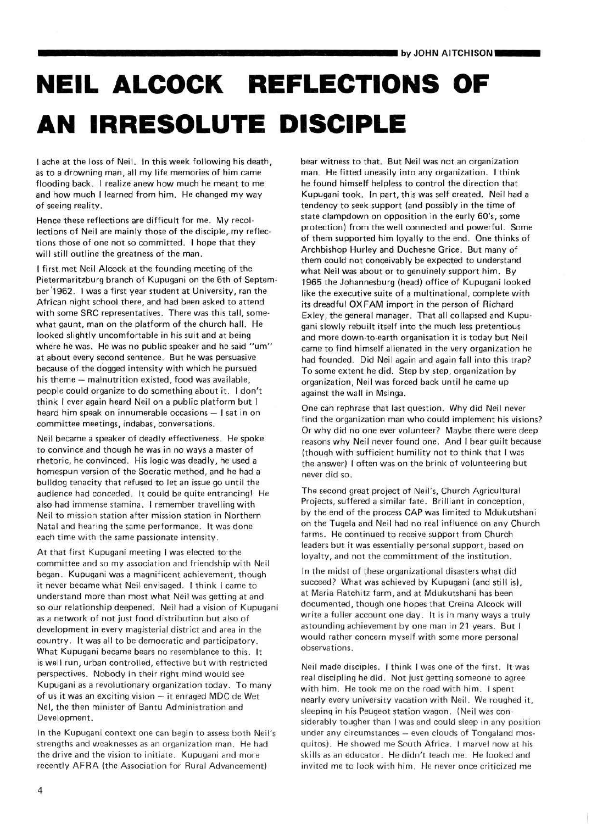## **NEIL ALCOCK REFLECTIONS OF AN IRRESOLUTE DISCIPLE**

I ache at the loss of Neil. In this week following his death, as to a drowning man, all my life memories of him came flooding back. I realize anew how much he meant to me and how much I learned from him. He changed my way of seeing reality.

Hence these reflections are difficult for me. My recollections of Neil are mainly those of the disciple,.my reflections those of one not so committed. I hope that they will still outline the greatness of the man.

I first met Neil Alcock at the founding meeting of the Pietermaritzburg branch of Kupugani on the 6th of September 1962. I was a first year student at University, ran the African night school there, and had been asked to attend with some SRC representatives. There was this tall, somewhat gaunt, man on the platform of the church hall. He looked slightly uncomfortable in his suit and at being where he was. He was no public speaker and he said "um" at about every second sentence. But he was persuasive because of the dogged intensity with which he pursued his theme — malnutrition existed, food was available, people could organize to do something about it. I don't think I ever again heard Neil on a public platform but I heard him speak on innumerable occasions — I sat in on committee meetings, indabas, conversations.

Neil became a speaker of deadly effectiveness. He spoke to convince and though he was in no ways a master of rhetoric, he convinced. His logic was deadly, he used a homespun version of the Socratic method, and he had a bulldog tenacity that refused to let an issue go until the audience had conceded. It could be quite entrancing! He also had immense stamina. I remember travelling with Neil to mission station after mission station in Northern Natal and hearing the same performance. It was done each time with the same passionate intensity.

At that first Kupugani meeting I was elected to the committee and so my association and friendship with Neil began. Kupugani was a magnificent achievement, though it never became what Neil envisaged. I think I came to understand more than most what Neil was getting at and so our relationship deepened. Neil had a vision of Kupugani as a network of not just food distribution but also of development in every magisterial district and area in the country. It was all to be democratic and participatory. What Kupugani became bears no resemblance to this. It is well run, urban controlled, effective but with restricted perspectives. Nobody in their right mind would see Kupugani as a revolutionary organization today. To many of us it was an exciting vision — it enraged MDC de Wet Nel, the then minister of Bantu Administration and Development.

In the Kupugani context one can begin to assess both Neil's strengths and weaknesses as an organization man. He had the drive and the vision to initiate. Kupugani and more recently AFRA (the Association for Rural Advancement)

bear witness to that. But Neil was not an organization man. He fitted uneasily into any organization. I think he found himself helpless to control the direction that Kupugani took. In part, this was self created. Neil had a tendency to seek support (and possibly in the time of state clampdown on opposition in the early 60's, some protection) from the well connected and powerful. Some of them supported him loyally to the end. One thinks of Archbishop Hurley and Duchesne Grice. But many of them could not conceivably be expected to understand what Neil was about or to genuinely support him. By 1965 the Johannesburg (head) office of Kupugani looked like the executive suite of a multinational, complete with its dreadful OXFAM import in the person of Richard Exley, the general manager. That all collapsed and Kupugani slowly rebuilt itself into the much less pretentious and more down-to-earth organisation it is today but Neil came to find himself alienated in the very organization he had founded. Did Neil again and again fall into this trap? To some extent he did. Step by step, organization by organization, Neil was forced back until he came up against the wall in Msinga.

One can rephrase that last question. Why did Neil never find the organization man who could implement his visions? Or why did no one ever volunteer? Maybe there were deep reasons why Neil never found one. And I bear guilt because (though with sufficient humility not to think that I was the answer) I often was on the brink of volunteering but never did so.

The second great project of Neil's, Church Agricultural Projects, suffered a similar fate. Brilliant in conception, by the end of the process CAP was limited to Mdukutshani on the Tugela and Neil had no real influence on any Church farms. He continued to receive support from Church leaders but it was essentially personal support, based on loyalty, and not the committment of the institution.

In the midst of these organizational disasters what did succeed? What was achieved by Kupugani (and still is), at Maria Ratchitz farm, and at Mdukutshani has been documented, though one hopes that Creina Alcock will write a fuller account one day. It is in many ways a truly astounding achievement by one man in 21 years. But I would rather concern myself with some more personal observations.

Neil made disciples, i think I was one of the first. It was real discipling he did. Not just getting someone to agree with him. He took me on the road with him. I spent nearly every university vacation with Neil. We roughed it, sleeping in his Peugeot station wagon. (Neil was con siderably tougher than I was and could sleep in any position under any circumstances — even clouds of Tongaland mosquitos). He showed me South Africa. I marvel now at his skills as an educator. He didn't teach me. He looked and invited me to look with him. He never once criticized me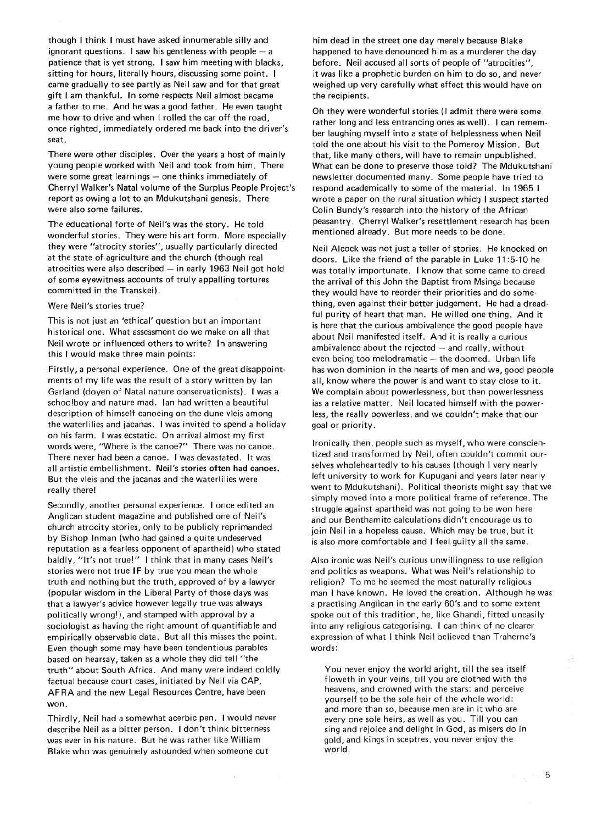though I think I must have asked innumerable silly and ignorant questions. I saw his gentleness with people — a patience that is yet strong. I saw him meeting with blacks, sitting for hours, literally hours, discussing some point. I came gradually to see partly as Neil saw and for that great gift I am thankful. In some respects Neil almost became a father to me. And he was a good father. He even taught me how to drive and when I rolled the car off the road, once righted, immediately ordered me back into the driver's seat.

There were other disciples. Over the years a host of mainly young people worked with Neil and took from him. There were some great learnings — one thinks immediately of Cherryl Walker's Natal volume of the Surplus People Project's report as owing a lot to an Mdukutshani genesis. There were also some failures.

The educational forte of Neil's was the story. He told wonderful stories. They were his art form. More especially they were "atrocity stories", usually particularly directed at the state of agriculture and the church (though real atrocities were also described — in early 1963 Neil got hold of some eyewitness accounts of truly appalling tortures committed in the Transkei).

## Were Neil's stories true?

This is not just an 'ethical' question but an important historical one. What assessment do we make on all that Neil wrote or influenced others to write? In answering this I would make three main points:

Firstly, a personal experience. One of the great disappointments of my life was the result of a story written by Ian Garland (doyen of Natal nature conservationists). I was a schoolboy and nature mad. Ian had written a beautiful description of himself canoeing on the dune vleis among the waterlilies and jacanas. I was invited to spend a holiday on his farm. I was ecstatic. On arrival almost my first words were, "Where is the canoe?" There was no canoe. There never had been a canoe. I was devastated. It was all artistic embellishment. **Neil's stories often had canoes.**  But the vleis and the jacanas and the waterlilies were really there!

Secondly, another personal experience. I once edited an Anglican student magazine and published one of Neil's church atrocity stories, only to be publicly reprimanded by Bishop Inman (who had gained a quite undeserved reputation as a fearless opponent of apartheid) who stated baldly, "It's not true!" I think that in many cases Neil's stories were not true IF by true you mean the whole truth and nothing but the truth, approved of by a lawyer (popular wisdom in the Liberal Party of those days was that a lawyer's advice however legally true was always politically wrong!), and stamped with approval by a sociologist as having the right amount of quantifiable and empirically observable data. But all this misses the point. Even though some may have been tendentious parables based on hearsay, taken as a whole they did tell "the truth" about South Africa. And many were indeed coldly factual because court cases, initiated by Neil via CAP, AFRA and the new Legal Resources Centre, have been won.

Thirdly, Neil had a somewhat acerbic pen. I would never describe Neil as a bitter person. I don't think bitterness was ever in his nature. But he was rather like William Blake who was genuinely astounded when someone cut

×

him dead in the street one day merely because Blake happened to have denounced him as a murderer the day before. Neil accused all sorts of people of "atrocities", it was like a prophetic burden on him to do so, and never weighed up very carefully what effect this would have on the recipients.

Oh they were wonderful stories (I admit there were some rather long and less entrancing ones as well). I can remember laughing myself into a state of helplessness when Neil told the one about his visit to the Pomeroy Mission. But that, like many others, will have to remain unpublished. What can be done to preserve those told? The Mdukutshani newsletter documented many. Some people have tried to respond academically to some of the material. In 1965 I wrote a paper on the rural situation which I suspect started Colin Bundy's research into the history of the African peasantry. Cherryl Walker's resettlement research has been mentioned already. But more needs to be done.

Neil Alcock was not just a teller of stories. He knocked on doors. Like the friend of the parable in Luke 11:5-10 he was totally importunate. I know that some came to dread the arrival of this John the Baptist from Msinga because they would have to reorder their priorities and do something, even against their better judgement. He had a dreadful purity of heart that man. He willed one thing. And it is here that the curious ambivalence the good people have about Neil manifested itself. And it is really a curious ambivalence about the rejected — and really, without even being too melodramatic — the doomed. Urban life has won dominion in the hearts of men and we, good people all, know where the power is and want to stay close to it. We complain about powerlessness, but then powerlessness ias a relative matter. Neil located himself with the powerless, the really powerless, and we couldn't make that our goal or priority.

Ironically then, people such as myself, who were conscientized and transformed by Neil, often couldn't commit ourselves wholeheartedly to his causes (though I very nearly left university to work for Kupugani and years later nearly went to Mdukutshani). Political theorists might say that we simply moved into a more political frame of reference. The struggle against apartheid was not going to be won here and our Benthamite calculations didn't encourage us to join Neil in a hopeless cause. Which may be true, but it is also more comfortable and I feel guilty all the same.

Also ironic was Neil's curious unwillingness to use religion and politics as weapons. What was Neil's relationship to religion? To me he seemed the most naturally religious man I have known. He loved the creation. Although he was a practising Anglican in the early 60's and to some extent spoke out of this tradition, he, like Ghandi, fitted uneasily into any religious categorising. I can think of no clearer expression of what I think Neil believed than Traherne's words:

You never enjoy the world aright, till the sea itself floweth in your veins, till you are clothed with the heavens, and crowned with the stars: and perceive yourself to be the sole heir of the whole world: and more than so, because men are in it who are every one sole heirs, as well as you. Till you can sing and rejoice and delight in God, as misers do in gold, and kings in sceptres, you never enjoy the world.